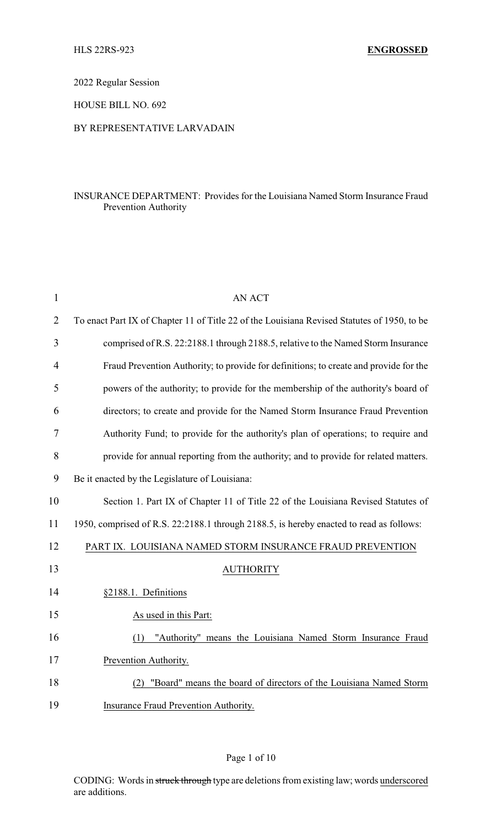2022 Regular Session

HOUSE BILL NO. 692

## BY REPRESENTATIVE LARVADAIN

## INSURANCE DEPARTMENT: Provides for the Louisiana Named Storm Insurance Fraud Prevention Authority

| $\mathbf{1}$   | <b>AN ACT</b>                                                                               |
|----------------|---------------------------------------------------------------------------------------------|
| $\overline{2}$ | To enact Part IX of Chapter 11 of Title 22 of the Louisiana Revised Statutes of 1950, to be |
| 3              | comprised of R.S. 22:2188.1 through 2188.5, relative to the Named Storm Insurance           |
| 4              | Fraud Prevention Authority; to provide for definitions; to create and provide for the       |
| 5              | powers of the authority; to provide for the membership of the authority's board of          |
| 6              | directors; to create and provide for the Named Storm Insurance Fraud Prevention             |
| 7              | Authority Fund; to provide for the authority's plan of operations; to require and           |
| 8              | provide for annual reporting from the authority; and to provide for related matters.        |
| 9              | Be it enacted by the Legislature of Louisiana:                                              |
| 10             | Section 1. Part IX of Chapter 11 of Title 22 of the Louisiana Revised Statutes of           |
| 11             | 1950, comprised of R.S. 22:2188.1 through 2188.5, is hereby enacted to read as follows:     |
| 12             | PART IX. LOUISIANA NAMED STORM INSURANCE FRAUD PREVENTION                                   |
| 13             | <b>AUTHORITY</b>                                                                            |
| 14             | §2188.1. Definitions                                                                        |
| 15             | As used in this Part:                                                                       |
| 16             | "Authority" means the Louisiana Named Storm Insurance Fraud<br>(1)                          |
| 17             | Prevention Authority.                                                                       |
| 18             | "Board" means the board of directors of the Louisiana Named Storm<br>(2)                    |
| 19             | Insurance Fraud Prevention Authority.                                                       |

## Page 1 of 10

CODING: Words in struck through type are deletions from existing law; words underscored are additions.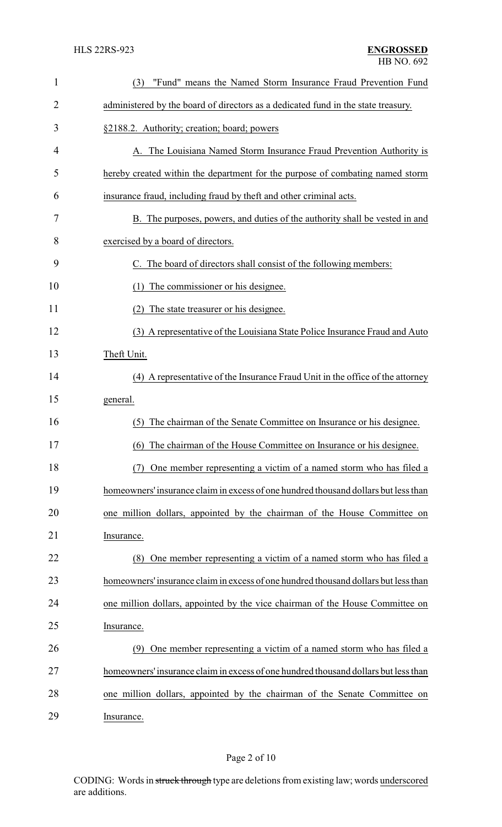| $\mathbf{1}$   | "Fund" means the Named Storm Insurance Fraud Prevention Fund<br>(3)                 |
|----------------|-------------------------------------------------------------------------------------|
| $\overline{2}$ | administered by the board of directors as a dedicated fund in the state treasury.   |
| 3              | §2188.2. Authority; creation; board; powers                                         |
| 4              | A. The Louisiana Named Storm Insurance Fraud Prevention Authority is                |
| 5              | hereby created within the department for the purpose of combating named storm       |
| 6              | insurance fraud, including fraud by theft and other criminal acts.                  |
| 7              | B. The purposes, powers, and duties of the authority shall be vested in and         |
| 8              | exercised by a board of directors.                                                  |
| 9              | C. The board of directors shall consist of the following members:                   |
| 10             | The commissioner or his designee.<br>(1)                                            |
| 11             | (2) The state treasurer or his designee.                                            |
| 12             | (3) A representative of the Louisiana State Police Insurance Fraud and Auto         |
| 13             | Theft Unit.                                                                         |
| 14             | (4) A representative of the Insurance Fraud Unit in the office of the attorney      |
| 15             | general.                                                                            |
| 16             | The chairman of the Senate Committee on Insurance or his designee.<br>(5)           |
| 17             | (6) The chairman of the House Committee on Insurance or his designee.               |
| 18             | One member representing a victim of a named storm who has filed a<br>(7)            |
| 19             | homeowners' insurance claim in excess of one hundred thousand dollars but less than |
| 20             | one million dollars, appointed by the chairman of the House Committee on            |
| 21             | Insurance.                                                                          |
| 22             | (8) One member representing a victim of a named storm who has filed a               |
| 23             | homeowners' insurance claim in excess of one hundred thousand dollars but less than |
| 24             | one million dollars, appointed by the vice chairman of the House Committee on       |
| 25             | Insurance.                                                                          |
| 26             | (9) One member representing a victim of a named storm who has filed a               |
| 27             | homeowners' insurance claim in excess of one hundred thousand dollars but less than |
| 28             | one million dollars, appointed by the chairman of the Senate Committee on           |
| 29             | Insurance.                                                                          |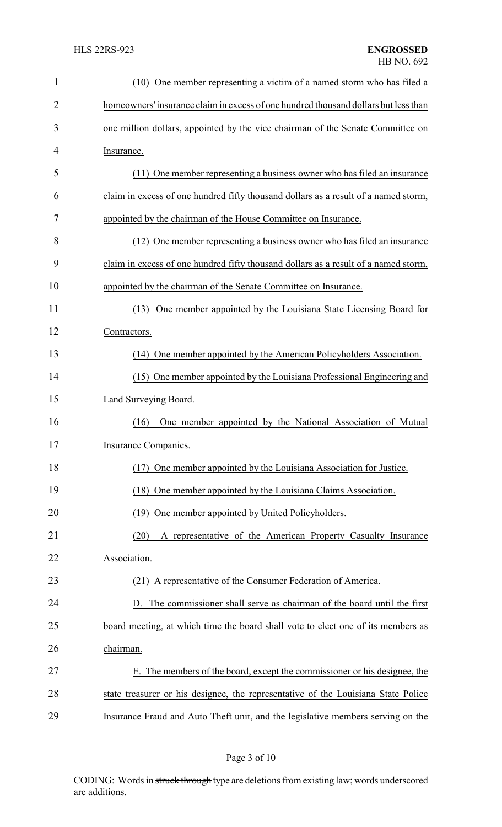| $\mathbf{1}$ | (10) One member representing a victim of a named storm who has filed a              |
|--------------|-------------------------------------------------------------------------------------|
| 2            | homeowners' insurance claim in excess of one hundred thousand dollars but less than |
| 3            | one million dollars, appointed by the vice chairman of the Senate Committee on      |
| 4            | Insurance.                                                                          |
| 5            | (11) One member representing a business owner who has filed an insurance            |
| 6            | claim in excess of one hundred fifty thousand dollars as a result of a named storm, |
| 7            | appointed by the chairman of the House Committee on Insurance.                      |
| 8            | (12) One member representing a business owner who has filed an insurance            |
| 9            | claim in excess of one hundred fifty thousand dollars as a result of a named storm, |
| 10           | appointed by the chairman of the Senate Committee on Insurance.                     |
| 11           | One member appointed by the Louisiana State Licensing Board for<br>(13)             |
| 12           | Contractors.                                                                        |
| 13           | (14) One member appointed by the American Policyholders Association.                |
| 14           | (15) One member appointed by the Louisiana Professional Engineering and             |
| 15           | Land Surveying Board.                                                               |
| 16           | (16)<br>One member appointed by the National Association of Mutual                  |
| 17           | Insurance Companies.                                                                |
| 18           | One member appointed by the Louisiana Association for Justice.<br>(17)              |
| 19           | One member appointed by the Louisiana Claims Association.<br>(18)                   |
| 20           | One member appointed by United Policyholders.<br>(19)                               |
| 21           | A representative of the American Property Casualty Insurance<br>(20)                |
| 22           | Association.                                                                        |
| 23           | (21) A representative of the Consumer Federation of America.                        |
| 24           | The commissioner shall serve as chairman of the board until the first<br>D.         |
| 25           | board meeting, at which time the board shall vote to elect one of its members as    |
| 26           | chairman.                                                                           |
| 27           | E. The members of the board, except the commissioner or his designee, the           |
| 28           | state treasurer or his designee, the representative of the Louisiana State Police   |
| 29           | Insurance Fraud and Auto Theft unit, and the legislative members serving on the     |

Page 3 of 10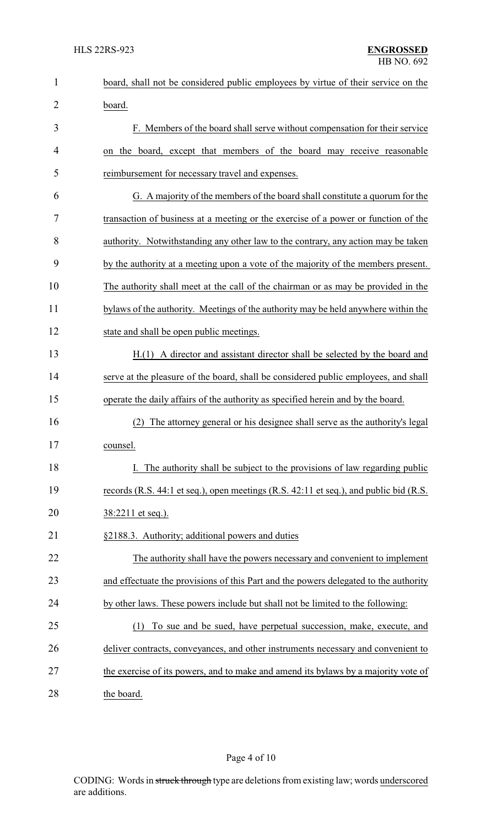| $\mathbf{1}$   | board, shall not be considered public employees by virtue of their service on the     |
|----------------|---------------------------------------------------------------------------------------|
| $\overline{2}$ | board.                                                                                |
| 3              | F. Members of the board shall serve without compensation for their service            |
| 4              | on the board, except that members of the board may receive reasonable                 |
| 5              | reimbursement for necessary travel and expenses.                                      |
| 6              | G. A majority of the members of the board shall constitute a quorum for the           |
| 7              | transaction of business at a meeting or the exercise of a power or function of the    |
| 8              | authority. Notwithstanding any other law to the contrary, any action may be taken     |
| 9              | by the authority at a meeting upon a vote of the majority of the members present.     |
| 10             | The authority shall meet at the call of the chairman or as may be provided in the     |
| 11             | bylaws of the authority. Meetings of the authority may be held anywhere within the    |
| 12             | state and shall be open public meetings.                                              |
| 13             | H.(1) A director and assistant director shall be selected by the board and            |
| 14             | serve at the pleasure of the board, shall be considered public employees, and shall   |
| 15             | operate the daily affairs of the authority as specified herein and by the board.      |
| 16             | The attorney general or his designee shall serve as the authority's legal<br>(2)      |
| 17             | counsel.                                                                              |
| 18             | The authority shall be subject to the provisions of law regarding public              |
| 19             | records (R.S. 44:1 et seq.), open meetings (R.S. 42:11 et seq.), and public bid (R.S. |
| 20             | 38:2211 et seq.).                                                                     |
| 21             | §2188.3. Authority; additional powers and duties                                      |
| 22             | The authority shall have the powers necessary and convenient to implement             |
| 23             | and effectuate the provisions of this Part and the powers delegated to the authority  |
| 24             | by other laws. These powers include but shall not be limited to the following:        |
| 25             | (1) To sue and be sued, have perpetual succession, make, execute, and                 |
| 26             | deliver contracts, conveyances, and other instruments necessary and convenient to     |
| 27             | the exercise of its powers, and to make and amend its bylaws by a majority vote of    |
| 28             | the board.                                                                            |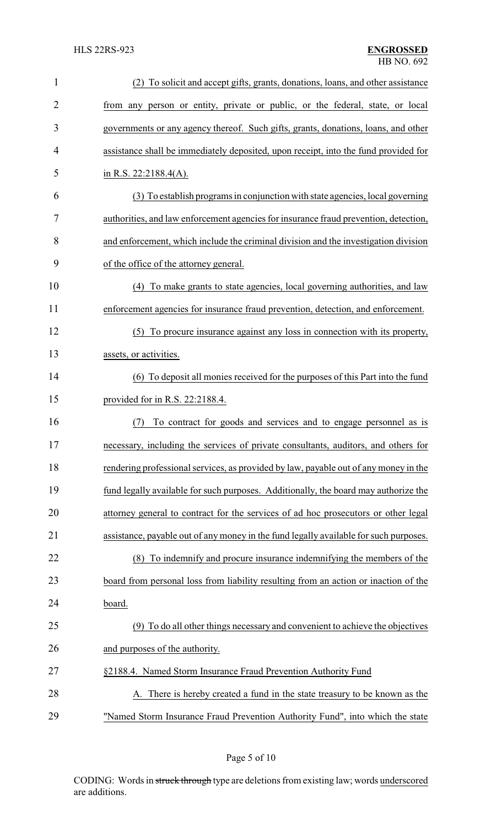| 1  | (2) To solicit and accept gifts, grants, donations, loans, and other assistance       |
|----|---------------------------------------------------------------------------------------|
| 2  | from any person or entity, private or public, or the federal, state, or local         |
| 3  | governments or any agency thereof. Such gifts, grants, donations, loans, and other    |
| 4  | assistance shall be immediately deposited, upon receipt, into the fund provided for   |
| 5  | in R.S. $22:2188.4(A)$ .                                                              |
| 6  | (3) To establish programs in conjunction with state agencies, local governing         |
| 7  | authorities, and law enforcement agencies for insurance fraud prevention, detection,  |
| 8  | and enforcement, which include the criminal division and the investigation division   |
| 9  | of the office of the attorney general.                                                |
| 10 | (4) To make grants to state agencies, local governing authorities, and law            |
| 11 | enforcement agencies for insurance fraud prevention, detection, and enforcement.      |
| 12 | (5) To procure insurance against any loss in connection with its property,            |
| 13 | assets, or activities.                                                                |
| 14 | (6) To deposit all monies received for the purposes of this Part into the fund        |
| 15 | provided for in R.S. $22:2188.4$ .                                                    |
| 16 | To contract for goods and services and to engage personnel as is<br>(7)               |
| 17 | necessary, including the services of private consultants, auditors, and others for    |
| 18 | rendering professional services, as provided by law, payable out of any money in the  |
| 19 | fund legally available for such purposes. Additionally, the board may authorize the   |
| 20 | attorney general to contract for the services of ad hoc prosecutors or other legal    |
| 21 | assistance, payable out of any money in the fund legally available for such purposes. |
| 22 | To indemnify and procure insurance indemnifying the members of the<br>(8)             |
| 23 | board from personal loss from liability resulting from an action or inaction of the   |
| 24 | board.                                                                                |
| 25 | (9) To do all other things necessary and convenient to achieve the objectives         |
| 26 | and purposes of the authority.                                                        |
| 27 | §2188.4. Named Storm Insurance Fraud Prevention Authority Fund                        |
| 28 | There is hereby created a fund in the state treasury to be known as the               |
| 29 | "Named Storm Insurance Fraud Prevention Authority Fund", into which the state         |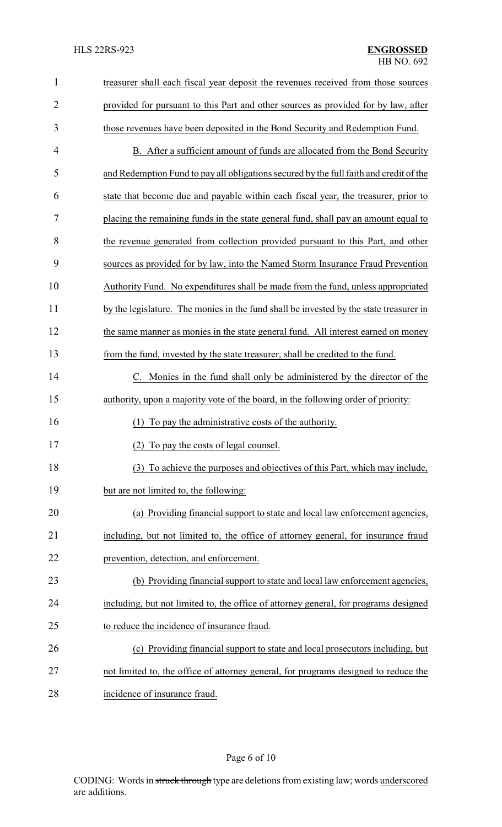| $\mathbf{1}$   | treasurer shall each fiscal year deposit the revenues received from those sources      |
|----------------|----------------------------------------------------------------------------------------|
| $\overline{c}$ | provided for pursuant to this Part and other sources as provided for by law, after     |
| 3              | those revenues have been deposited in the Bond Security and Redemption Fund.           |
| 4              | B. After a sufficient amount of funds are allocated from the Bond Security             |
| 5              | and Redemption Fund to pay all obligations secured by the full faith and credit of the |
| 6              | state that become due and payable within each fiscal year, the treasurer, prior to     |
| 7              | placing the remaining funds in the state general fund, shall pay an amount equal to    |
| 8              | the revenue generated from collection provided pursuant to this Part, and other        |
| 9              | sources as provided for by law, into the Named Storm Insurance Fraud Prevention        |
| 10             | Authority Fund. No expenditures shall be made from the fund, unless appropriated       |
| 11             | by the legislature. The monies in the fund shall be invested by the state treasurer in |
| 12             | the same manner as monies in the state general fund. All interest earned on money      |
| 13             | from the fund, invested by the state treasurer, shall be credited to the fund.         |
| 14             | C. Monies in the fund shall only be administered by the director of the                |
| 15             | authority, upon a majority vote of the board, in the following order of priority:      |
| 16             | (1) To pay the administrative costs of the authority.                                  |
| 17             | To pay the costs of legal counsel.<br>(2)                                              |
| 18             | (3) To achieve the purposes and objectives of this Part, which may include,            |
| 19             | but are not limited to, the following:                                                 |
| 20             | (a) Providing financial support to state and local law enforcement agencies,           |
| 21             | including, but not limited to, the office of attorney general, for insurance fraud     |
| 22             | prevention, detection, and enforcement.                                                |
| 23             | (b) Providing financial support to state and local law enforcement agencies,           |
| 24             | including, but not limited to, the office of attorney general, for programs designed   |
| 25             | to reduce the incidence of insurance fraud.                                            |
| 26             | (c) Providing financial support to state and local prosecutors including, but          |
| 27             | not limited to, the office of attorney general, for programs designed to reduce the    |
|                |                                                                                        |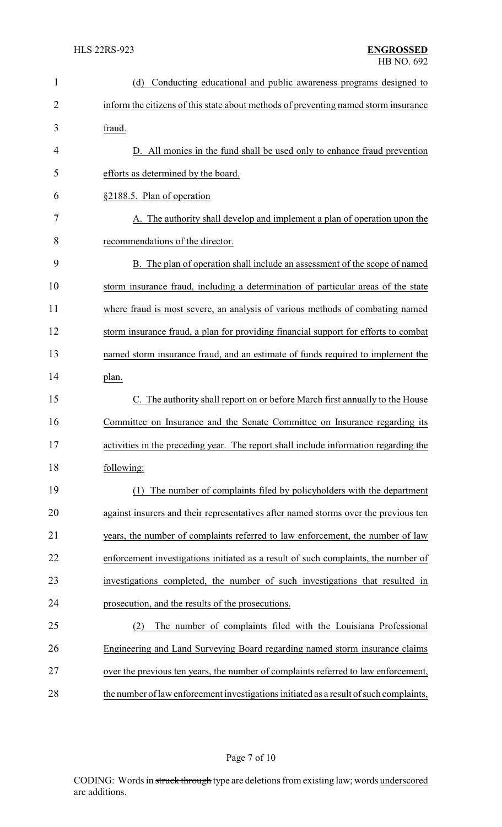| $\mathbf{1}$ | (d)<br>Conducting educational and public awareness programs designed to                |
|--------------|----------------------------------------------------------------------------------------|
| 2            | inform the citizens of this state about methods of preventing named storm insurance    |
| 3            | fraud.                                                                                 |
| 4            | D. All monies in the fund shall be used only to enhance fraud prevention               |
| 5            | efforts as determined by the board.                                                    |
| 6            | §2188.5. Plan of operation                                                             |
| 7            | A. The authority shall develop and implement a plan of operation upon the              |
| 8            | recommendations of the director.                                                       |
| 9            | B. The plan of operation shall include an assessment of the scope of named             |
| 10           | storm insurance fraud, including a determination of particular areas of the state      |
| 11           | where fraud is most severe, an analysis of various methods of combating named          |
| 12           | storm insurance fraud, a plan for providing financial support for efforts to combat    |
| 13           | named storm insurance fraud, and an estimate of funds required to implement the        |
| 14           | plan.                                                                                  |
| 15           | C. The authority shall report on or before March first annually to the House           |
| 16           | Committee on Insurance and the Senate Committee on Insurance regarding its             |
| 17           | activities in the preceding year. The report shall include information regarding the   |
| 18           | following:                                                                             |
| 19           | (1) The number of complaints filed by policyholders with the department                |
| 20           | against insurers and their representatives after named storms over the previous ten    |
| 21           | years, the number of complaints referred to law enforcement, the number of law         |
| 22           | enforcement investigations initiated as a result of such complaints, the number of     |
| 23           | investigations completed, the number of such investigations that resulted in           |
| 24           | prosecution, and the results of the prosecutions.                                      |
| 25           | The number of complaints filed with the Louisiana Professional<br>(2)                  |
| 26           | Engineering and Land Surveying Board regarding named storm insurance claims            |
| 27           | over the previous ten years, the number of complaints referred to law enforcement,     |
| 28           | the number of law enforcement investigations initiated as a result of such complaints, |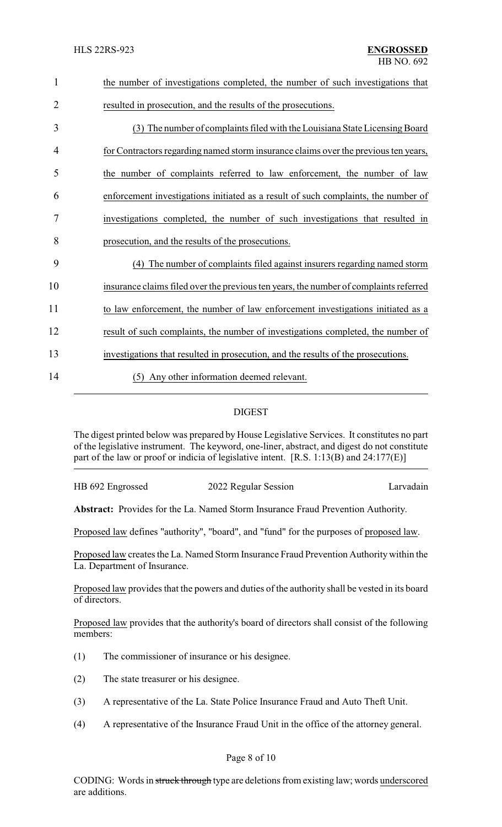| $\mathbf{1}$   | the number of investigations completed, the number of such investigations that        |
|----------------|---------------------------------------------------------------------------------------|
| $\overline{2}$ | resulted in prosecution, and the results of the prosecutions.                         |
| 3              | (3) The number of complaints filed with the Louisiana State Licensing Board           |
| 4              | for Contractors regarding named storm insurance claims over the previous ten years,   |
| 5              | the number of complaints referred to law enforcement, the number of law               |
| 6              | enforcement investigations initiated as a result of such complaints, the number of    |
| 7              | investigations completed, the number of such investigations that resulted in          |
| 8              | prosecution, and the results of the prosecutions.                                     |
| 9              | The number of complaints filed against insurers regarding named storm<br>(4)          |
| 10             | insurance claims filed over the previous ten years, the number of complaints referred |
| 11             | to law enforcement, the number of law enforcement investigations initiated as a       |
| 12             | result of such complaints, the number of investigations completed, the number of      |
| 13             | investigations that resulted in prosecution, and the results of the prosecutions.     |
| 14             | Any other information deemed relevant.<br>(5)                                         |
|                |                                                                                       |

# DIGEST

The digest printed below was prepared by House Legislative Services. It constitutes no part of the legislative instrument. The keyword, one-liner, abstract, and digest do not constitute part of the law or proof or indicia of legislative intent. [R.S. 1:13(B) and 24:177(E)]

HB 692 Engrossed 2022 Regular Session Larvadain

**Abstract:** Provides for the La. Named Storm Insurance Fraud Prevention Authority.

Proposed law defines "authority", "board", and "fund" for the purposes of proposed law.

Proposed law creates the La. Named Storm Insurance Fraud Prevention Authority within the La. Department of Insurance.

Proposed law provides that the powers and duties of the authority shall be vested in its board of directors.

Proposed law provides that the authority's board of directors shall consist of the following members:

- (1) The commissioner of insurance or his designee.
- (2) The state treasurer or his designee.
- (3) A representative of the La. State Police Insurance Fraud and Auto Theft Unit.
- (4) A representative of the Insurance Fraud Unit in the office of the attorney general.

## Page 8 of 10

CODING: Words in struck through type are deletions from existing law; words underscored are additions.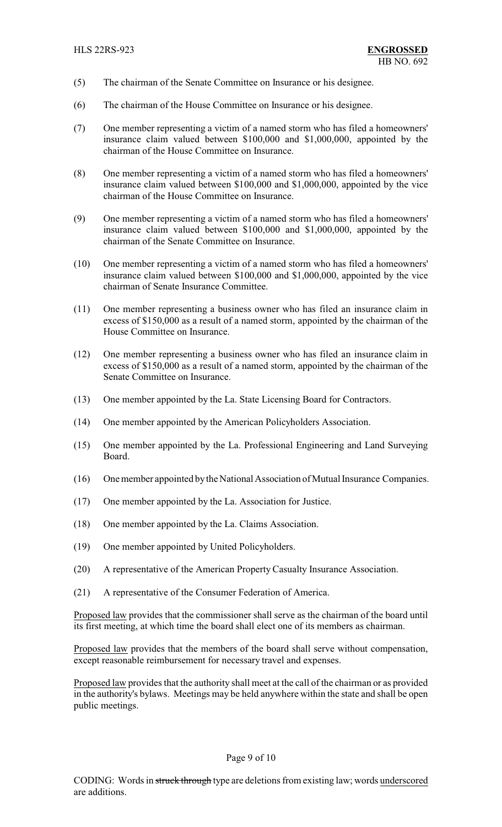- (5) The chairman of the Senate Committee on Insurance or his designee.
- (6) The chairman of the House Committee on Insurance or his designee.
- (7) One member representing a victim of a named storm who has filed a homeowners' insurance claim valued between \$100,000 and \$1,000,000, appointed by the chairman of the House Committee on Insurance.
- (8) One member representing a victim of a named storm who has filed a homeowners' insurance claim valued between \$100,000 and \$1,000,000, appointed by the vice chairman of the House Committee on Insurance.
- (9) One member representing a victim of a named storm who has filed a homeowners' insurance claim valued between \$100,000 and \$1,000,000, appointed by the chairman of the Senate Committee on Insurance.
- (10) One member representing a victim of a named storm who has filed a homeowners' insurance claim valued between \$100,000 and \$1,000,000, appointed by the vice chairman of Senate Insurance Committee.
- (11) One member representing a business owner who has filed an insurance claim in excess of \$150,000 as a result of a named storm, appointed by the chairman of the House Committee on Insurance.
- (12) One member representing a business owner who has filed an insurance claim in excess of \$150,000 as a result of a named storm, appointed by the chairman of the Senate Committee on Insurance.
- (13) One member appointed by the La. State Licensing Board for Contractors.
- (14) One member appointed by the American Policyholders Association.
- (15) One member appointed by the La. Professional Engineering and Land Surveying Board.
- (16) One member appointed bythe National Association of Mutual Insurance Companies.
- (17) One member appointed by the La. Association for Justice.
- (18) One member appointed by the La. Claims Association.
- (19) One member appointed by United Policyholders.
- (20) A representative of the American Property Casualty Insurance Association.
- (21) A representative of the Consumer Federation of America.

Proposed law provides that the commissioner shall serve as the chairman of the board until its first meeting, at which time the board shall elect one of its members as chairman.

Proposed law provides that the members of the board shall serve without compensation, except reasonable reimbursement for necessary travel and expenses.

Proposed law provides that the authority shall meet at the call of the chairman or as provided in the authority's bylaws. Meetings may be held anywhere within the state and shall be open public meetings.

#### Page 9 of 10